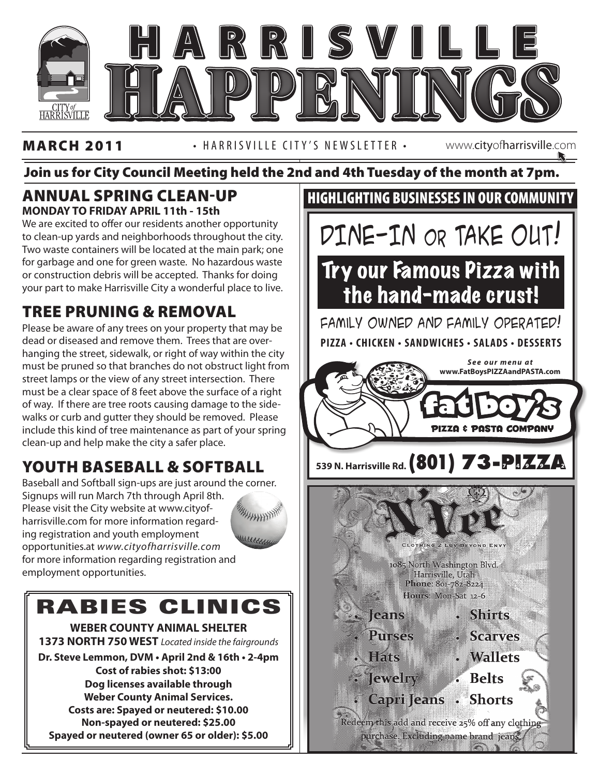

#### MARCH 2011 • HARRISVILLE CITY'S NEWSLETTER • www.cityofharrisville.com

#### Join us for City Council Meeting held the 2nd and 4th Tuesday of the month at 7pm.

#### Annual Spring Clean-Up **MONDAY TO FRIDAY APRIL 11th - 15th**

We are excited to offer our residents another opportunity to clean-up yards and neighborhoods throughout the city. Two waste containers will be located at the main park; one for garbage and one for green waste. No hazardous waste or construction debris will be accepted. Thanks for doing your part to make Harrisville City a wonderful place to live.

### Tree Pruning & Removal

of way. If there are tree roots causing damage to the side-Please be aware of any trees on your property that may be dead or diseased and remove them. Trees that are overhanging the street, sidewalk, or right of way within the city must be pruned so that branches do not obstruct light from street lamps or the view of any street intersection. There must be a clear space of 8 feet above the surface of a right walks or curb and gutter they should be removed. Please include this kind of tree maintenance as part of your spring clean-up and help make the city a safer place.

### Youth Baseball & Softball

Baseball and Softball sign-ups are just around the corner. Signups will run March 7th through April 8th. Please visit the City website at www.cityof-HAHHHHH harrisville.com for more information regarding registration and youth employment opportunities.at *www.cityofharrisville.com* for more information regarding registration and employment opportunities.

# RABIES CLINICS

**WEBER COUNTY ANIMAL SHELTER 1373 NORTH 750 WEST** *Located inside the fairgrounds*

**Dr. Steve Lemmon, DVM • April 2nd & 16th • 2-4pm Cost of rabies shot: \$13:00 Dog licenses available through Weber County Animal Services. Costs are: Spayed or neutered: \$10.00 Non-spayed or neutered: \$25.00 Spayed or neutered (owner 65 or older): \$5.00**

### HIGHLIGHTING BUSINESSES IN OUR COMMUNITY

DINE-IN or TAKE OUT!

# Try our Famous Pizza with the hand-made crust!

**PIZZA • CHICKEN • SANDWICHES • SALADS • DESSERTS** FAMILY OWNED AND FAMILY OPERATED!



purchase. Excluding name brand jeans.